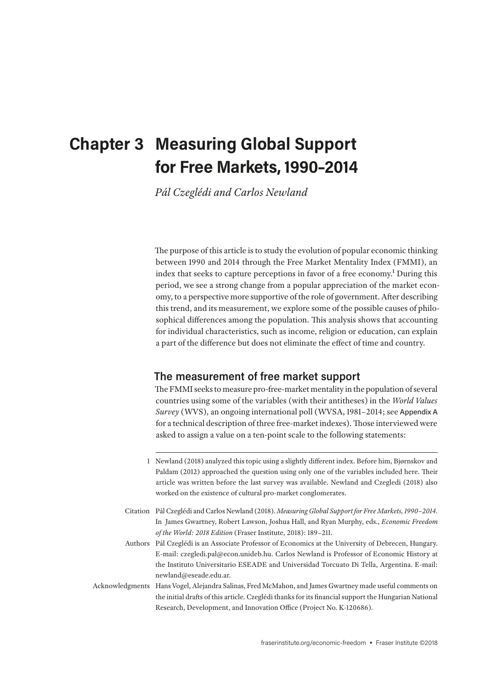# **Chapter 3 Measuring Global Support for Free Markets, 1990–2014**

*Pál Czeglédi and Carlos Newland*

The purpose of this article is to study the evolution of popular economic thinking between 1990 and 2014 through the Free Market Mentality Index (FMMI), an index that seeks to capture perceptions in favor of a free economy.<sup>1</sup> During this period, we see a strong change from a popular appreciation of the market economy, to a perspective more supportive of the role of government. After describing this trend, and its measurement, we explore some of the possible causes of philosophical differences among the population. This analysis shows that accounting for individual characteristics, such as income, religion or education, can explain a part of the difference but does not eliminate the effect of time and country.

## **The measurement of free market support**

The FMMI seeks to measure pro-free-market mentality in the population of several countries using some of the variables (with their antitheses) in the *World Values Survey* (WVS), an ongoing international poll (WVSA, 1981–2014; see Appendix A for a technical description of three free-market indexes). Those interviewed were asked to assign a value on a ten-point scale to the following statements:

Authors Pál Czeglédi is an Associate Professor of Economics at the University of Debrecen, Hungary. E-mail: czegledi.pal@econ.unideb.hu. Carlos Newland is Professor of Economic History at the Instituto Universitario ESEADE and Universidad Torcuato Di Tella, Argentina. E-mail: newland@eseade.edu.ar.

Acknowledgments Hans Vogel, Alejandra Salinas, Fred McMahon, and James Gwartney made useful comments on the initial drafts of this article. Czeglédi thanks for its financial support the Hungarian National Research, Development, and Innovation Office (Project No. K-120686).

<sup>1</sup> Newland (2018) analyzed this topic using a slightly different index. Before him, Bjørnskov and Paldam (2012) approached the question using only one of the variables included here. Their article was written before the last survey was available. Newland and Czegledi (2018) also worked on the existence of cultural pro-market conglomerates.

Citation Pál Czeglédi and Carlos Newland (2018). *Measuring Global Support for Free Markets, 1990–2014*. In James Gwartney, Robert Lawson, Joshua Hall, and Ryan Murphy, eds., *Economic Freedom of the World: 2018 Edition* (Fraser Institute, 2018): 189–211.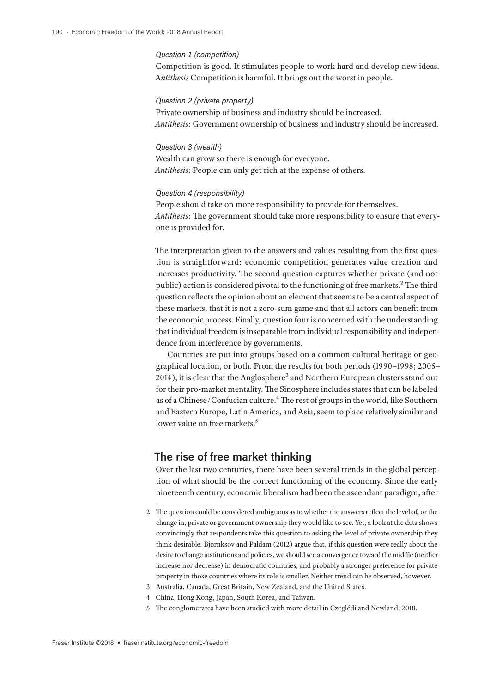#### *Question 1 (competition)*

Competition is good. It stimulates people to work hard and develop new ideas. A*ntithesis* Competition is harmful. It brings out the worst in people.

#### *Question 2 (private property)*

Private ownership of business and industry should be increased. *Antithesis*: Government ownership of business and industry should be increased.

*Question 3 (wealth)* Wealth can grow so there is enough for everyone. *Antithesis*: People can only get rich at the expense of others.

#### *Question 4 (responsibility)*

People should take on more responsibility to provide for themselves. *Antithesis*: The government should take more responsibility to ensure that everyone is provided for.

The interpretation given to the answers and values resulting from the first question is straightforward: economic competition generates value creation and increases productivity. The second question captures whether private (and not public) action is considered pivotal to the functioning of free markets.<sup>2</sup> The third question reflects the opinion about an element that seems to be a central aspect of these markets, that it is not a zero-sum game and that all actors can benefit from the economic process. Finally, question four is concerned with the understanding that individual freedom is inseparable from individual responsibility and independence from interference by governments.

Countries are put into groups based on a common cultural heritage or geographical location, or both. From the results for both periods (1990–1998; 2005– 2014), it is clear that the Anglosphere<sup>3</sup> and Northern European clusters stand out for their pro-market mentality. The Sinosphere includes states that can be labeled as of a Chinese/Confucian culture.<sup>4</sup> The rest of groups in the world, like Southern and Eastern Europe, Latin America, and Asia, seem to place relatively similar and lower value on free markets.<sup>5</sup>

### **The rise of free market thinking**

Over the last two centuries, there have been several trends in the global perception of what should be the correct functioning of the economy. Since the early nineteenth century, economic liberalism had been the ascendant paradigm, after

- 3 Australia, Canada, Great Britain, New Zealand, and the United States.
- 4 China, Hong Kong, Japan, South Korea, and Taiwan.
- 5 The conglomerates have been studied with more detail in Czeglédi and Newland, 2018.

<sup>2</sup> The question could be considered ambiguous as to whether the answers reflect the level of, or the change in, private or government ownership they would like to see. Yet, a look at the data shows convincingly that respondents take this question to asking the level of private ownership they think desirable. Bjørnksov and Paldam (2012) argue that, if this question were really about the desire to change institutions and policies, we should see a convergence toward the middle (neither increase nor decrease) in democratic countries, and probably a stronger preference for private property in those countries where its role is smaller. Neither trend can be observed, however.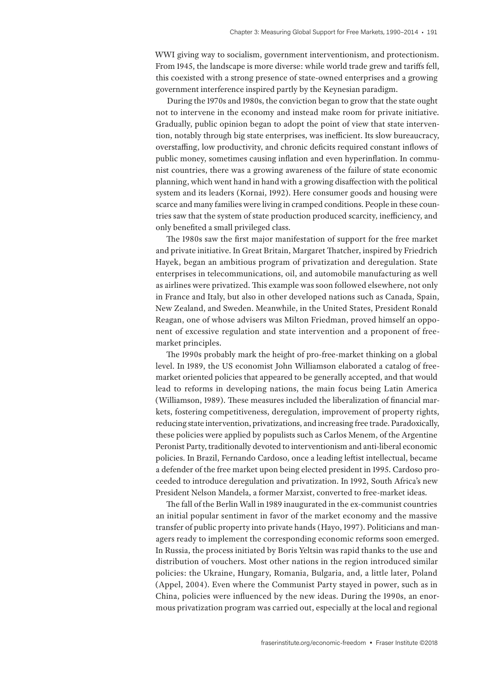WWI giving way to socialism, government interventionism, and protectionism. From 1945, the landscape is more diverse: while world trade grew and tariffs fell, this coexisted with a strong presence of state-owned enterprises and a growing government interference inspired partly by the Keynesian paradigm.

During the 1970s and 1980s, the conviction began to grow that the state ought not to intervene in the economy and instead make room for private initiative. Gradually, public opinion began to adopt the point of view that state intervention, notably through big state enterprises, was inefficient. Its slow bureaucracy, overstaffing, low productivity, and chronic deficits required constant inflows of public money, sometimes causing inflation and even hyperinflation. In communist countries, there was a growing awareness of the failure of state economic planning, which went hand in hand with a growing disaffection with the political system and its leaders (Kornai, 1992). Here consumer goods and housing were scarce and many families were living in cramped conditions. People in these countries saw that the system of state production produced scarcity, inefficiency, and only benefited a small privileged class.

The 1980s saw the first major manifestation of support for the free market and private initiative. In Great Britain, Margaret Thatcher, inspired by Friedrich Hayek, began an ambitious program of privatization and deregulation. State enterprises in telecommunications, oil, and automobile manufacturing as well as airlines were privatized. This example was soon followed elsewhere, not only in France and Italy, but also in other developed nations such as Canada, Spain, New Zealand, and Sweden. Meanwhile, in the United States, President Ronald Reagan, one of whose advisers was Milton Friedman, proved himself an opponent of excessive regulation and state intervention and a proponent of freemarket principles.

The 1990s probably mark the height of pro-free-market thinking on a global level. In 1989, the US economist John Williamson elaborated a catalog of freemarket oriented policies that appeared to be generally accepted, and that would lead to reforms in developing nations, the main focus being Latin America (Williamson, 1989). These measures included the liberalization of financial markets, fostering competitiveness, deregulation, improvement of property rights, reducing state intervention, privatizations, and increasing free trade. Paradoxically, these policies were applied by populists such as Carlos Menem, of the Argentine Peronist Party, traditionally devoted to interventionism and anti-liberal economic policies. In Brazil, Fernando Cardoso, once a leading leftist intellectual, became a defender of the free market upon being elected president in 1995. Cardoso proceeded to introduce deregulation and privatization. In 1992, South Africa's new President Nelson Mandela, a former Marxist, converted to free-market ideas.

The fall of the Berlin Wall in 1989 inaugurated in the ex-communist countries an initial popular sentiment in favor of the market economy and the massive transfer of public property into private hands (Hayo, 1997). Politicians and managers ready to implement the corresponding economic reforms soon emerged. In Russia, the process initiated by Boris Yeltsin was rapid thanks to the use and distribution of vouchers. Most other nations in the region introduced similar policies: the Ukraine, Hungary, Romania, Bulgaria, and, a little later, Poland (Appel, 2004). Even where the Communist Party stayed in power, such as in China, policies were influenced by the new ideas. During the 1990s, an enormous privatization program was carried out, especially at the local and regional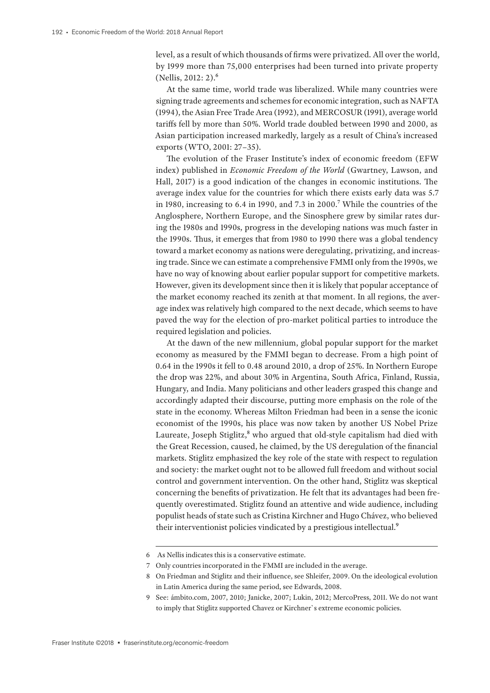level, as a result of which thousands of firms were privatized. All over the world, by 1999 more than 75,000 enterprises had been turned into private property (Nellis, 2012: 2).6

At the same time, world trade was liberalized. While many countries were signing trade agreements and schemes for economic integration, such as NAFTA (1994), the Asian Free Trade Area (1992), and MERCOSUR (1991), average world tariffs fell by more than 50%. World trade doubled between 1990 and 2000, as Asian participation increased markedly, largely as a result of China's increased exports (WTO, 2001: 27–35).

The evolution of the Fraser Institute's index of economic freedom (EFW index) published in *Economic Freedom of the World* (Gwartney, Lawson, and Hall, 2017) is a good indication of the changes in economic institutions. The average index value for the countries for which there exists early data was 5.7 in 1980, increasing to 6.4 in 1990, and 7.3 in 2000.7 While the countries of the Anglosphere, Northern Europe, and the Sinosphere grew by similar rates during the 1980s and 1990s, progress in the developing nations was much faster in the 1990s. Thus, it emerges that from 1980 to 1990 there was a global tendency toward a market economy as nations were deregulating, privatizing, and increasing trade. Since we can estimate a comprehensive FMMI only from the 1990s, we have no way of knowing about earlier popular support for competitive markets. However, given its development since then it is likely that popular acceptance of the market economy reached its zenith at that moment. In all regions, the average index was relatively high compared to the next decade, which seems to have paved the way for the election of pro-market political parties to introduce the required legislation and policies.

At the dawn of the new millennium, global popular support for the market economy as measured by the FMMI began to decrease. From a high point of 0.64 in the 1990s it fell to 0.48 around 2010, a drop of 25%. In Northern Europe the drop was 22%, and about 30% in Argentina, South Africa, Finland, Russia, Hungary, and India. Many politicians and other leaders grasped this change and accordingly adapted their discourse, putting more emphasis on the role of the state in the economy. Whereas Milton Friedman had been in a sense the iconic economist of the 1990s, his place was now taken by another US Nobel Prize Laureate, Joseph Stiglitz,<sup>8</sup> who argued that old-style capitalism had died with the Great Recession, caused, he claimed, by the US deregulation of the financial markets. Stiglitz emphasized the key role of the state with respect to regulation and society: the market ought not to be allowed full freedom and without social control and government intervention. On the other hand, Stiglitz was skeptical concerning the benefits of privatization. He felt that its advantages had been frequently overestimated. Stiglitz found an attentive and wide audience, including populist heads of state such as Cristina Kirchner and Hugo Chávez, who believed their interventionist policies vindicated by a prestigious intellectual.9

<sup>6</sup> As Nellis indicates this is a conservative estimate.

<sup>7</sup> Only countries incorporated in the FMMI are included in the average.

<sup>8</sup> On Friedman and Stiglitz and their influence, see Shleifer, 2009. On the ideological evolution in Latin America during the same period, see Edwards, 2008.

<sup>9</sup> See: ámbito.com, 2007, 2010; Janicke, 2007; Lukin, 2012; MercoPress, 2011. We do not want to imply that Stiglitz supported Chavez or Kirchner`s extreme economic policies.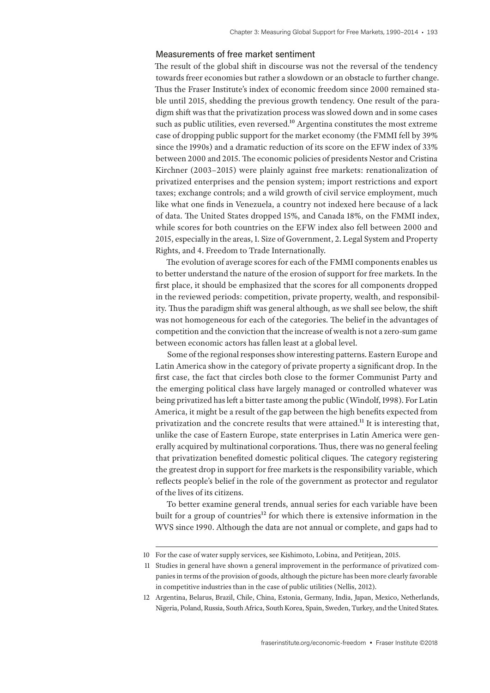#### Measurements of free market sentiment

The result of the global shift in discourse was not the reversal of the tendency towards freer economies but rather a slowdown or an obstacle to further change. Thus the Fraser Institute's index of economic freedom since 2000 remained stable until 2015, shedding the previous growth tendency. One result of the paradigm shift was that the privatization process was slowed down and in some cases such as public utilities, even reversed.<sup>10</sup> Argentina constitutes the most extreme case of dropping public support for the market economy (the FMMI fell by 39% since the 1990s) and a dramatic reduction of its score on the EFW index of 33% between 2000 and 2015. The economic policies of presidents Nestor and Cristina Kirchner (2003–2015) were plainly against free markets: renationalization of privatized enterprises and the pension system; import restrictions and export taxes; exchange controls; and a wild growth of civil service employment, much like what one finds in Venezuela, a country not indexed here because of a lack of data. The United States dropped 15%, and Canada 18%, on the FMMI index, while scores for both countries on the EFW index also fell between 2000 and 2015, especially in the areas, 1. Size of Government, 2. Legal System and Property Rights, and 4. Freedom to Trade Internationally.

The evolution of average scores for each of the FMMI components enables us to better understand the nature of the erosion of support for free markets. In the first place, it should be emphasized that the scores for all components dropped in the reviewed periods: competition, private property, wealth, and responsibility. Thus the paradigm shift was general although, as we shall see below, the shift was not homogeneous for each of the categories. The belief in the advantages of competition and the conviction that the increase of wealth is not a zero-sum game between economic actors has fallen least at a global level.

Some of the regional responses show interesting patterns. Eastern Europe and Latin America show in the category of private property a significant drop. In the first case, the fact that circles both close to the former Communist Party and the emerging political class have largely managed or controlled whatever was being privatized has left a bitter taste among the public (Windolf, 1998). For Latin America, it might be a result of the gap between the high benefits expected from privatization and the concrete results that were attained.11 It is interesting that, unlike the case of Eastern Europe, state enterprises in Latin America were generally acquired by multinational corporations. Thus, there was no general feeling that privatization benefited domestic political cliques. The category registering the greatest drop in support for free markets is the responsibility variable, which reflects people's belief in the role of the government as protector and regulator of the lives of its citizens.

To better examine general trends, annual series for each variable have been built for a group of countries<sup>12</sup> for which there is extensive information in the WVS since 1990. Although the data are not annual or complete, and gaps had to

<sup>10</sup> For the case of water supply services, see Kishimoto, Lobina, and Petitjean, 2015.

<sup>11</sup> Studies in general have shown a general improvement in the performance of privatized companies in terms of the provision of goods, although the picture has been more clearly favorable in competitive industries than in the case of public utilities (Nellis, 2012).

<sup>12</sup> Argentina, Belarus, Brazil, Chile, China, Estonia, Germany, India, Japan, Mexico, Netherlands, Nigeria, Poland, Russia, South Africa, South Korea, Spain, Sweden, Turkey, and the United States.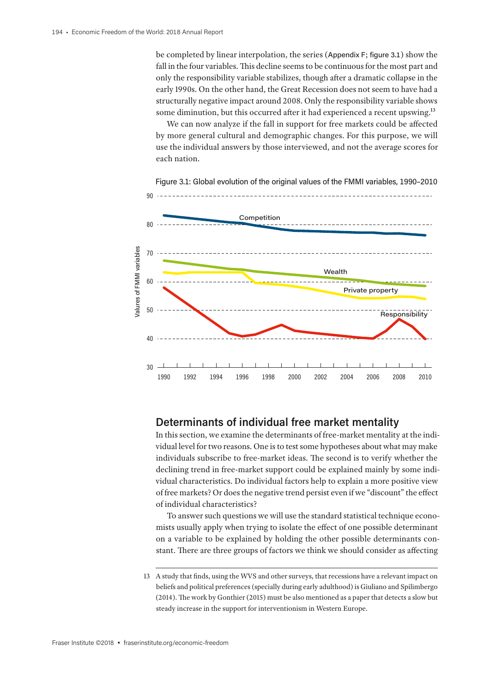be completed by linear interpolation, the series (Appendix F; figure 3.1) show the fall in the four variables. This decline seems to be continuous for the most part and only the responsibility variable stabilizes, though after a dramatic collapse in the early 1990s. On the other hand, the Great Recession does not seem to have had a structurally negative impact around 2008. Only the responsibility variable shows some diminution, but this occurred after it had experienced a recent upswing.<sup>13</sup>

We can now analyze if the fall in support for free markets could be affected by more general cultural and demographic changes. For this purpose, we will use the individual answers by those interviewed, and not the average scores for each nation.



Figure 3.1: Global evolution of the original values of the FMMI variables, 1990–2010

## **Determinants of individual free market mentality**

In this section, we examine the determinants of free-market mentality at the individual level for two reasons. One is to test some hypotheses about what may make individuals subscribe to free-market ideas. The second is to verify whether the declining trend in free-market support could be explained mainly by some individual characteristics. Do individual factors help to explain a more positive view of free markets? Or does the negative trend persist even if we "discount" the effect of individual characteristics?

To answer such questions we will use the standard statistical technique economists usually apply when trying to isolate the effect of one possible determinant on a variable to be explained by holding the other possible determinants constant. There are three groups of factors we think we should consider as affecting

<sup>13</sup> A study that finds, using the WVS and other surveys, that recessions have a relevant impact on beliefs and political preferences (specially during early adulthood) is Giuliano and Spilimbergo (2014). The work by Gonthier (2015) must be also mentioned as a paper that detects a slow but steady increase in the support for interventionism in Western Europe.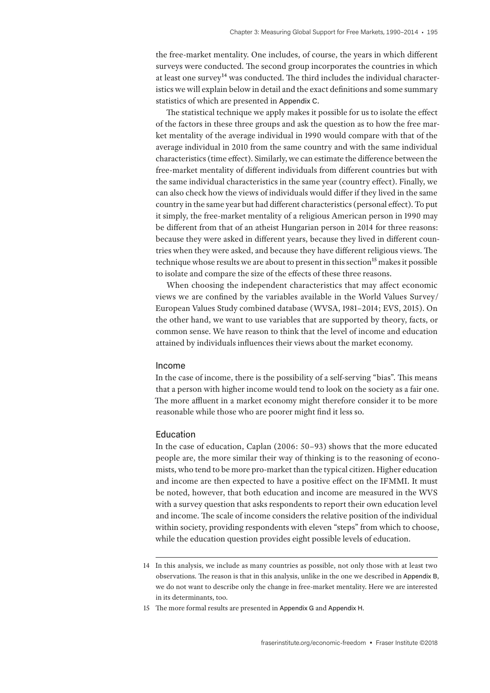the free-market mentality. One includes, of course, the years in which different surveys were conducted. The second group incorporates the countries in which at least one survey<sup>14</sup> was conducted. The third includes the individual characteristics we will explain below in detail and the exact definitions and some summary statistics of which are presented in Appendix C.

The statistical technique we apply makes it possible for us to isolate the effect of the factors in these three groups and ask the question as to how the free market mentality of the average individual in 1990 would compare with that of the average individual in 2010 from the same country and with the same individual characteristics (time effect). Similarly, we can estimate the difference between the free-market mentality of different individuals from different countries but with the same individual characteristics in the same year (country effect). Finally, we can also check how the views of individuals would differ if they lived in the same country in the same year but had different characteristics (personal effect). To put it simply, the free-market mentality of a religious American person in 1990 may be different from that of an atheist Hungarian person in 2014 for three reasons: because they were asked in different years, because they lived in different countries when they were asked, and because they have different religious views. The technique whose results we are about to present in this section<sup>15</sup> makes it possible to isolate and compare the size of the effects of these three reasons.

When choosing the independent characteristics that may affect economic views we are confined by the variables available in the World Values Survey/ European Values Study combined database (WVSA, 1981–2014; EVS, 2015). On the other hand, we want to use variables that are supported by theory, facts, or common sense. We have reason to think that the level of income and education attained by individuals influences their views about the market economy.

#### Income

In the case of income, there is the possibility of a self-serving "bias". This means that a person with higher income would tend to look on the society as a fair one. The more affluent in a market economy might therefore consider it to be more reasonable while those who are poorer might find it less so.

#### Education

In the case of education, Caplan (2006: 50–93) shows that the more educated people are, the more similar their way of thinking is to the reasoning of economists, who tend to be more pro-market than the typical citizen. Higher education and income are then expected to have a positive effect on the IFMMI. It must be noted, however, that both education and income are measured in the WVS with a survey question that asks respondents to report their own education level and income. The scale of income considers the relative position of the individual within society, providing respondents with eleven "steps" from which to choose, while the education question provides eight possible levels of education.

<sup>14</sup> In this analysis, we include as many countries as possible, not only those with at least two observations. The reason is that in this analysis, unlike in the one we described in Appendix B, we do not want to describe only the change in free-market mentality. Here we are interested in its determinants, too.

<sup>15</sup> The more formal results are presented in Appendix G and Appendix H.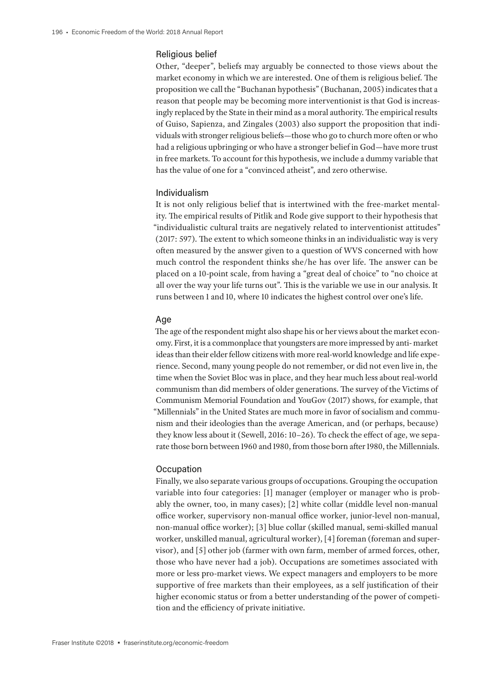#### Religious belief

Other, "deeper", beliefs may arguably be connected to those views about the market economy in which we are interested. One of them is religious belief. The proposition we call the "Buchanan hypothesis" (Buchanan, 2005) indicates that a reason that people may be becoming more interventionist is that God is increasingly replaced by the State in their mind as a moral authority. The empirical results of Guiso, Sapienza, and Zingales (2003) also support the proposition that individuals with stronger religious beliefs—those who go to church more often or who had a religious upbringing or who have a stronger belief in God—have more trust in free markets. To account for this hypothesis, we include a dummy variable that has the value of one for a "convinced atheist", and zero otherwise.

#### Individualism

It is not only religious belief that is intertwined with the free-market mentality. The empirical results of Pitlik and Rode give support to their hypothesis that "individualistic cultural traits are negatively related to interventionist attitudes" (2017: 597). The extent to which someone thinks in an individualistic way is very often measured by the answer given to a question of WVS concerned with how much control the respondent thinks she/he has over life. The answer can be placed on a 10-point scale, from having a "great deal of choice" to "no choice at all over the way your life turns out". This is the variable we use in our analysis. It runs between 1 and 10, where 10 indicates the highest control over one's life.

#### Age

The age of the respondent might also shape his or her views about the market economy. First, it is a commonplace that youngsters are more impressed by anti- market ideas than their elder fellow citizens with more real-world knowledge and life experience. Second, many young people do not remember, or did not even live in, the time when the Soviet Bloc was in place, and they hear much less about real-world communism than did members of older generations. The survey of the Victims of Communism Memorial Foundation and YouGov (2017) shows, for example, that "Millennials" in the United States are much more in favor of socialism and communism and their ideologies than the average American, and (or perhaps, because) they know less about it (Sewell, 2016: 10–26). To check the effect of age, we separate those born between 1960 and 1980, from those born after 1980, the Millennials.

#### **Occupation**

Finally, we also separate various groups of occupations. Grouping the occupation variable into four categories: [1] manager (employer or manager who is probably the owner, too, in many cases); [2] white collar (middle level non-manual office worker, supervisory non-manual office worker, junior-level non-manual, non-manual office worker); [3] blue collar (skilled manual, semi-skilled manual worker, unskilled manual, agricultural worker), [4] foreman (foreman and supervisor), and [5] other job (farmer with own farm, member of armed forces, other, those who have never had a job). Occupations are sometimes associated with more or less pro-market views. We expect managers and employers to be more supportive of free markets than their employees, as a self justification of their higher economic status or from a better understanding of the power of competition and the efficiency of private initiative.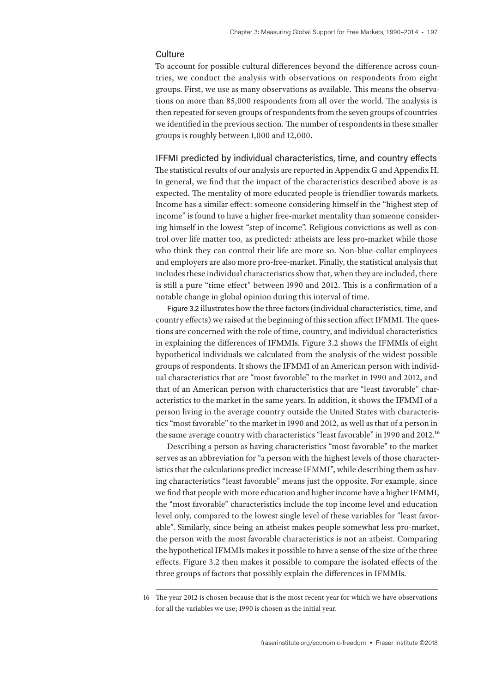#### **Culture**

To account for possible cultural differences beyond the difference across countries, we conduct the analysis with observations on respondents from eight groups. First, we use as many observations as available. This means the observations on more than 85,000 respondents from all over the world. The analysis is then repeated for seven groups of respondents from the seven groups of countries we identified in the previous section. The number of respondents in these smaller groups is roughly between 1,000 and 12,000.

IFFMI predicted by individual characteristics, time, and country effects

The statistical results of our analysis are reported in Appendix G and Appendix H. In general, we find that the impact of the characteristics described above is as expected. The mentality of more educated people is friendlier towards markets. Income has a similar effect: someone considering himself in the "highest step of income" is found to have a higher free-market mentality than someone considering himself in the lowest "step of income". Religious convictions as well as control over life matter too, as predicted: atheists are less pro-market while those who think they can control their life are more so. Non-blue-collar employees and employers are also more pro-free-market. Finally, the statistical analysis that includes these individual characteristics show that, when they are included, there is still a pure "time effect" between 1990 and 2012. This is a confirmation of a notable change in global opinion during this interval of time.

Figure 3.2 illustrates how the three factors (individual characteristics, time, and country effects) we raised at the beginning of this section affect IFMMI. The questions are concerned with the role of time, country, and individual characteristics in explaining the differences of IFMMIs. Figure 3.2 shows the IFMMIs of eight hypothetical individuals we calculated from the analysis of the widest possible groups of respondents. It shows the IFMMI of an American person with individual characteristics that are "most favorable" to the market in 1990 and 2012, and that of an American person with characteristics that are "least favorable" characteristics to the market in the same years. In addition, it shows the IFMMI of a person living in the average country outside the United States with characteristics "most favorable" to the market in 1990 and 2012, as well as that of a person in the same average country with characteristics "least favorable" in 1990 and 2012.16

Describing a person as having characteristics "most favorable" to the market serves as an abbreviation for "a person with the highest levels of those characteristics that the calculations predict increase IFMMI", while describing them as having characteristics "least favorable" means just the opposite. For example, since we find that people with more education and higher income have a higher IFMMI, the "most favorable" characteristics include the top income level and education level only, compared to the lowest single level of these variables for "least favorable". Similarly, since being an atheist makes people somewhat less pro-market, the person with the most favorable characteristics is not an atheist. Comparing the hypothetical IFMMIs makes it possible to have a sense of the size of the three effects. Figure 3.2 then makes it possible to compare the isolated effects of the three groups of factors that possibly explain the differences in IFMMIs.

<sup>16</sup> The year 2012 is chosen because that is the most recent year for which we have observations for all the variables we use; 1990 is chosen as the initial year.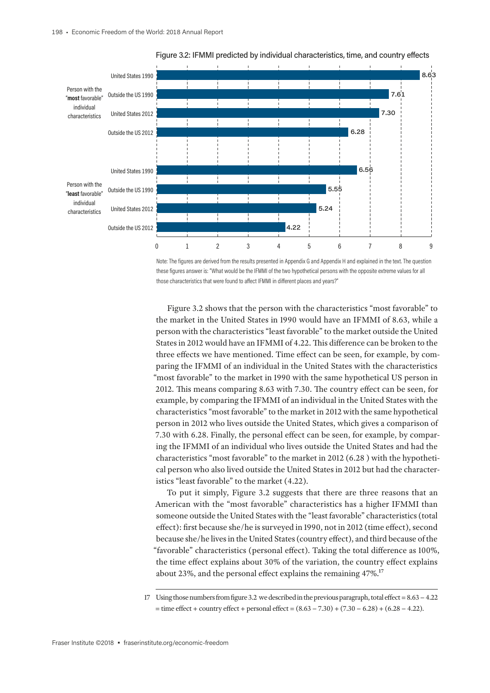

Figure 3.2: IFMMI predicted by individual characteristics, time, and country effects

Note: The figures are derived from the results presented in Appendix G and Appendix H and explained in the text. The question these figures answer is: "What would be the IFMMI of the two hypothetical persons with the opposite extreme values for all those characteristics that were found to affect IFMMI in different places and years?"

Figure 3.2 shows that the person with the characteristics "most favorable" to the market in the United States in 1990 would have an IFMMI of 8.63, while a person with the characteristics "least favorable" to the market outside the United States in 2012 would have an IFMMI of 4.22. This difference can be broken to the three effects we have mentioned. Time effect can be seen, for example, by comparing the IFMMI of an individual in the United States with the characteristics "most favorable" to the market in 1990 with the same hypothetical US person in 2012. This means comparing 8.63 with 7.30. The country effect can be seen, for example, by comparing the IFMMI of an individual in the United States with the characteristics "most favorable" to the market in 2012 with the same hypothetical person in 2012 who lives outside the United States, which gives a comparison of 7.30 with 6.28. Finally, the personal effect can be seen, for example, by comparing the IFMMI of an individual who lives outside the United States and had the characteristics "most favorable" to the market in 2012 (6.28 ) with the hypothetical person who also lived outside the United States in 2012 but had the characteristics "least favorable" to the market (4.22).

To put it simply, Figure 3.2 suggests that there are three reasons that an American with the "most favorable" characteristics has a higher IFMMI than someone outside the United States with the "least favorable" characteristics (total effect): first because she/he is surveyed in 1990, not in 2012 (time effect), second because she/he lives in the United States (country effect), and third because of the "favorable" characteristics (personal effect). Taking the total difference as 100%, the time effect explains about 30% of the variation, the country effect explains about 23%, and the personal effect explains the remaining 47%.17

<sup>17</sup> Using those numbers from figure 3.2 we described in the previous paragraph, total effect = 8.63 − 4.22  $=$  time effect + country effect + personal effect =  $(8.63 - 7.30) + (7.30 - 6.28) + (6.28 - 4.22)$ .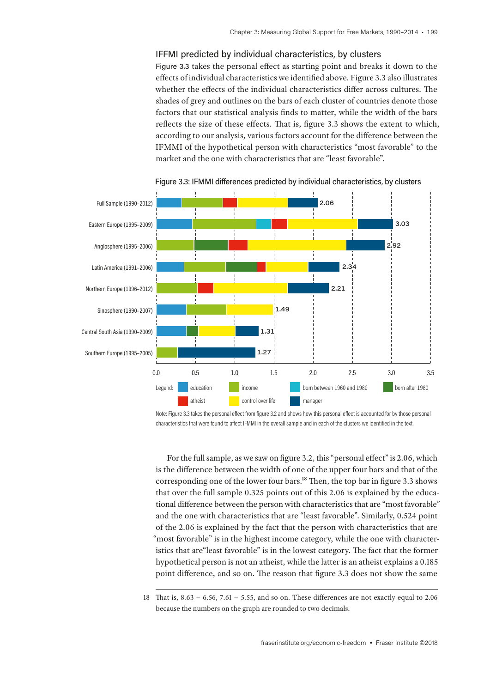#### IFFMI predicted by individual characteristics, by clusters

Figure 3.3 takes the personal effect as starting point and breaks it down to the effects of individual characteristics we identified above. Figure 3.3 also illustrates whether the effects of the individual characteristics differ across cultures. The shades of grey and outlines on the bars of each cluster of countries denote those factors that our statistical analysis finds to matter, while the width of the bars reflects the size of these effects. That is, figure 3.3 shows the extent to which, according to our analysis, various factors account for the difference between the IFMMI of the hypothetical person with characteristics "most favorable" to the market and the one with characteristics that are "least favorable".



Figure 3.3: IFMMI differences predicted by individual characteristics, by clusters

Note: Figure 3.3 takes the personal effect from figure 3.2 and shows how this personal effect is accounted for by those personal characteristics that were found to affect IFMMI in the overall sample and in each of the clusters we identified in the text.

For the full sample, as we saw on figure 3.2, this "personal effect" is 2.06, which is the difference between the width of one of the upper four bars and that of the corresponding one of the lower four bars.18 Then, the top bar in figure 3.3 shows that over the full sample 0.325 points out of this 2.06 is explained by the educational difference between the person with characteristics that are "most favorable" and the one with characteristics that are "least favorable". Similarly, 0.524 point of the 2.06 is explained by the fact that the person with characteristics that are "most favorable" is in the highest income category, while the one with characteristics that are"least favorable" is in the lowest category. The fact that the former hypothetical person is not an atheist, while the latter is an atheist explains a 0.185 point difference, and so on. The reason that figure 3.3 does not show the same

<sup>18</sup> That is, 8.63 − 6.56, 7.61 − 5.55, and so on. These differences are not exactly equal to 2.06 because the numbers on the graph are rounded to two decimals.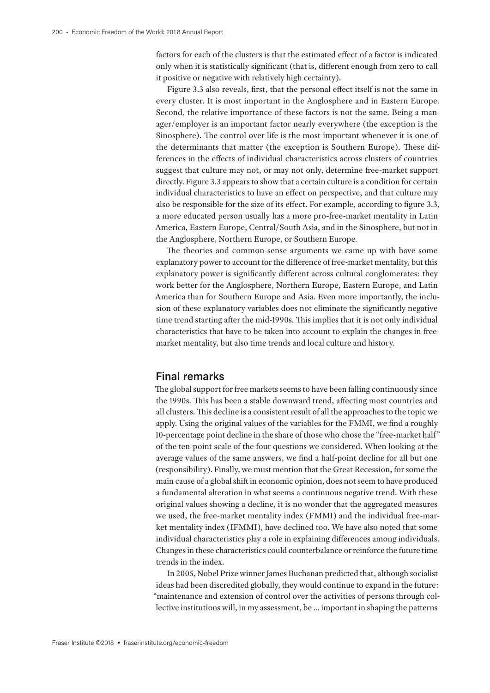factors for each of the clusters is that the estimated effect of a factor is indicated only when it is statistically significant (that is, different enough from zero to call it positive or negative with relatively high certainty).

Figure 3.3 also reveals, first, that the personal effect itself is not the same in every cluster. It is most important in the Anglosphere and in Eastern Europe. Second, the relative importance of these factors is not the same. Being a manager/employer is an important factor nearly everywhere (the exception is the Sinosphere). The control over life is the most important whenever it is one of the determinants that matter (the exception is Southern Europe). These differences in the effects of individual characteristics across clusters of countries suggest that culture may not, or may not only, determine free-market support directly. Figure 3.3 appears to show that a certain culture is a condition for certain individual characteristics to have an effect on perspective, and that culture may also be responsible for the size of its effect. For example, according to figure 3.3, a more educated person usually has a more pro-free-market mentality in Latin America, Eastern Europe, Central/South Asia, and in the Sinosphere, but not in the Anglosphere, Northern Europe, or Southern Europe.

The theories and common-sense arguments we came up with have some explanatory power to account for the difference of free-market mentality, but this explanatory power is significantly different across cultural conglomerates: they work better for the Anglosphere, Northern Europe, Eastern Europe, and Latin America than for Southern Europe and Asia. Even more importantly, the inclusion of these explanatory variables does not eliminate the significantly negative time trend starting after the mid-1990s. This implies that it is not only individual characteristics that have to be taken into account to explain the changes in freemarket mentality, but also time trends and local culture and history.

### **Final remarks**

The global support for free markets seems to have been falling continuously since the 1990s. This has been a stable downward trend, affecting most countries and all clusters. This decline is a consistent result of all the approaches to the topic we apply. Using the original values of the variables for the FMMI, we find a roughly 10-percentage point decline in the share of those who chose the "free-market half " of the ten-point scale of the four questions we considered. When looking at the average values of the same answers, we find a half-point decline for all but one (responsibility). Finally, we must mention that the Great Recession, for some the main cause of a global shift in economic opinion, does not seem to have produced a fundamental alteration in what seems a continuous negative trend. With these original values showing a decline, it is no wonder that the aggregated measures we used, the free-market mentality index (FMMI) and the individual free-market mentality index (IFMMI), have declined too. We have also noted that some individual characteristics play a role in explaining differences among individuals. Changes in these characteristics could counterbalance or reinforce the future time trends in the index.

In 2005, Nobel Prize winner James Buchanan predicted that, although socialist ideas had been discredited globally, they would continue to expand in the future: "maintenance and extension of control over the activities of persons through collective institutions will, in my assessment, be … important in shaping the patterns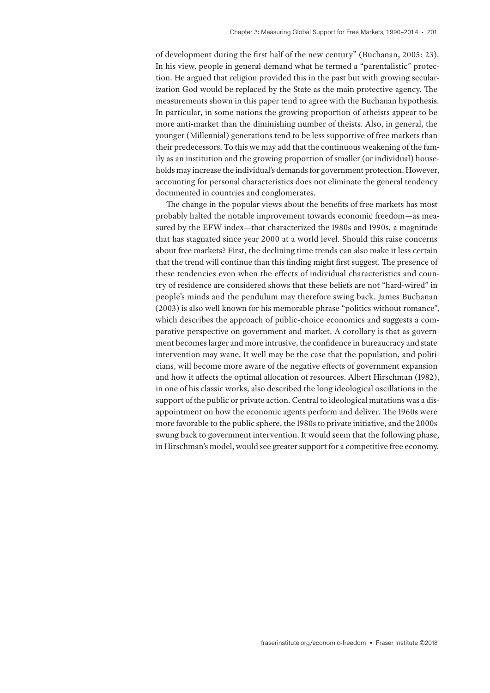of development during the first half of the new century" (Buchanan, 2005: 23). In his view, people in general demand what he termed a "parentalistic" protection. He argued that religion provided this in the past but with growing secularization God would be replaced by the State as the main protective agency. The measurements shown in this paper tend to agree with the Buchanan hypothesis. In particular, in some nations the growing proportion of atheists appear to be more anti-market than the diminishing number of theists. Also, in general, the younger (Millennial) generations tend to be less supportive of free markets than their predecessors. To this we may add that the continuous weakening of the family as an institution and the growing proportion of smaller (or individual) households may increase the individual's demands for government protection. However, accounting for personal characteristics does not eliminate the general tendency documented in countries and conglomerates.

The change in the popular views about the benefits of free markets has most probably halted the notable improvement towards economic freedom—as measured by the EFW index—that characterized the 1980s and 1990s, a magnitude that has stagnated since year 2000 at a world level. Should this raise concerns about free markets? First, the declining time trends can also make it less certain that the trend will continue than this finding might first suggest. The presence of these tendencies even when the effects of individual characteristics and country of residence are considered shows that these beliefs are not "hard-wired" in people's minds and the pendulum may therefore swing back. James Buchanan (2003) is also well known for his memorable phrase "politics without romance", which describes the approach of public-choice economics and suggests a comparative perspective on government and market. A corollary is that as government becomes larger and more intrusive, the confidence in bureaucracy and state intervention may wane. It well may be the case that the population, and politicians, will become more aware of the negative effects of government expansion and how it affects the optimal allocation of resources. Albert Hirschman (1982), in one of his classic works, also described the long ideological oscillations in the support of the public or private action. Central to ideological mutations was a disappointment on how the economic agents perform and deliver. The 1960s were more favorable to the public sphere, the 1980s to private initiative, and the 2000s swung back to government intervention. It would seem that the following phase, in Hirschman's model, would see greater support for a competitive free economy.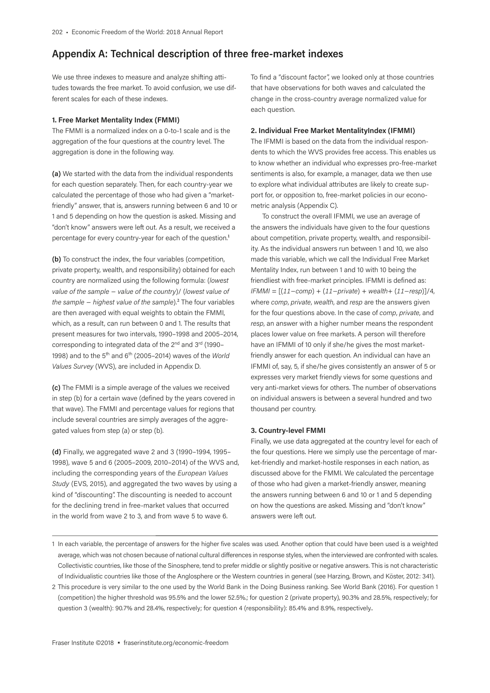## **Appendix A: Technical description of three free-market indexes**

We use three indexes to measure and analyze shifting attitudes towards the free market. To avoid confusion, we use different scales for each of these indexes.

#### **1. Free Market Mentality Index (FMMI)**

The FMMI is a normalized index on a 0-to-1 scale and is the aggregation of the four questions at the country level. The aggregation is done in the following way.

**(a)** We started with the data from the individual respondents for each question separately. Then, for each country-year we calculated the percentage of those who had given a "marketfriendly" answer, that is, answers running between 6 and 10 or 1 and 5 depending on how the question is asked. Missing and "don't know" answers were left out. As a result, we received a percentage for every country-year for each of the question.<sup>1</sup>

**(b)** To construct the index, the four variables (competition, private property, wealth, and responsibility) obtained for each country are normalized using the following formula: (*lowest value of the sample* − *value of the country*)/ (*lowest value of the sample* − *highest value of the sample*).<sup>2</sup> The four variables are then averaged with equal weights to obtain the FMMI, which, as a result, can run between 0 and 1. The results that present measures for two intervals, 1990–1998 and 2005–2014, corresponding to integrated data of the 2<sup>nd</sup> and 3<sup>rd</sup> (1990– 1998) and to the 5th and 6th (2005–2014) waves of the *World Values Survey* (WVS), are included in Appendix D.

**(c)** The FMMI is a simple average of the values we received in step (b) for a certain wave (defined by the years covered in that wave). The FMMI and percentage values for regions that include several countries are simply averages of the aggregated values from step (a) or step (b).

**(d)** Finally, we aggregated wave 2 and 3 (1990–1994, 1995– 1998), wave 5 and 6 (2005–2009, 2010–2014) of the WVS and, including the corresponding years of the *European Values Study* (EVS, 2015), and aggregated the two waves by using a kind of "discounting". The discounting is needed to account for the declining trend in free-market values that occurred in the world from wave 2 to 3, and from wave 5 to wave 6.

To find a "discount factor", we looked only at those countries that have observations for both waves and calculated the change in the cross-country average normalized value for each question.

#### **2. Individual Free Market MentalityIndex (IFMMI)**

The IFMMI is based on the data from the individual respondents to which the WVS provides free access. This enables us to know whether an individual who expresses pro-free-market sentiments is also, for example, a manager, data we then use to explore what individual attributes are likely to create support for, or opposition to, free-market policies in our econometric analysis (Appendix C).

To construct the overall IFMMI, we use an average of the answers the individuals have given to the four questions about competition, private property, wealth, and responsibility. As the individual answers run between 1 and 10, we also made this variable, which we call the Individual Free Market Mentality Index, run between 1 and 10 with 10 being the friendliest with free-market principles. IFMMI is defined as: *IFMMI* = [(*11−comp*) + (*11−private*) + *wealth*+ (*11−resp*)]/4, where *comp*, *private*, *wealth*, and *resp* are the answers given for the four questions above. In the case of *comp*, *private*, and *resp*, an answer with a higher number means the respondent places lower value on free markets. A person will therefore have an IFMMI of 10 only if she/he gives the most marketfriendly answer for each question. An individual can have an IFMMI of, say, 5, if she/he gives consistently an answer of 5 or expresses very market friendly views for some questions and very anti-market views for others. The number of observations on individual answers is between a several hundred and two thousand per country.

#### **3. Country-level FMMI**

Finally, we use data aggregated at the country level for each of the four questions. Here we simply use the percentage of market-friendly and market-hostile responses in each nation, as discussed above for the FMMI. We calculated the percentage of those who had given a market-friendly answer, meaning the answers running between 6 and 10 or 1 and 5 depending on how the questions are asked. Missing and "don't know" answers were left out.

<sup>1</sup> In each variable, the percentage of answers for the higher five scales was used. Another option that could have been used is a weighted average, which was not chosen because of national cultural differences in response styles, when the interviewed are confronted with scales. Collectivistic countries, like those of the Sinosphere, tend to prefer middle or slightly positive or negative answers. This is not characteristic of Individualistic countries like those of the Anglosphere or the Western countries in general (see Harzing, Brown, and Köster, 2012: 341).

<sup>2</sup> This procedure is very similar to the one used by the World Bank in the Doing Business ranking. See World Bank (2016). For question 1 (competition) the higher threshold was 95.5% and the lower 52.5%.; for question 2 (private property), 90.3% and 28.5%, respectively; for question 3 (wealth): 90.7% and 28.4%, respectively; for question 4 (responsibility): 85.4% and 8.9%, respectively..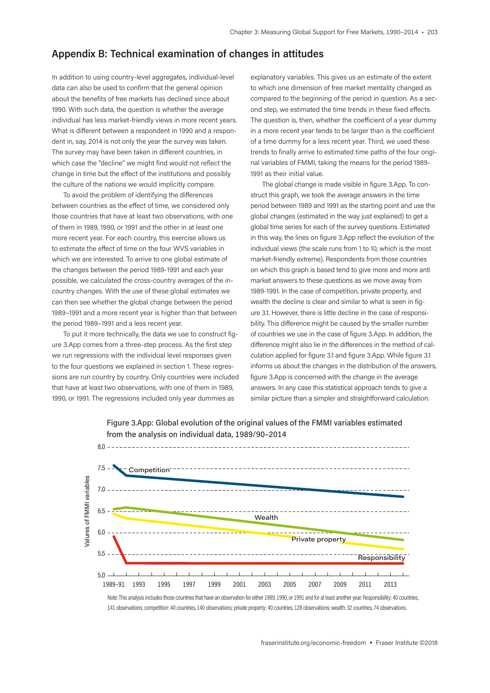## **Appendix B: Technical examination of changes in attitudes**

In addition to using country-level aggregates, individual-level data can also be used to confirm that the general opinion about the benefits of free markets has declined since about 1990. With such data, the question is whether the average individual has less market-friendly views in more recent years. What is different between a respondent in 1990 and a respondent in, say, 2014 is not only the year the survey was taken. The survey may have been taken in different countries, in which case the "decline" we might find would not reflect the change in time but the effect of the institutions and possibly the culture of the nations we would implicitly compare.

To avoid the problem of identifying the differences between countries as the effect of time, we considered only those countries that have at least two observations, with one of them in 1989, 1990, or 1991 and the other in at least one more recent year. For each country, this exercise allows us to estimate the effect of time on the four WVS variables in which we are interested. To arrive to one global estimate of the changes between the period 1989-1991 and each year possible, we calculated the cross-country averages of the incountry changes. With the use of these global estimates we can then see whether the global change between the period 1989–1991 and a more recent year is higher than that between the period 1989–1991 and a less recent year.

To put it more technically, the data we use to construct figure 3.App comes from a three-step process. As the first step we run regressions with the individual level responses given to the four questions we explained in section 1. These regressions are run country by country. Only countries were included that have at least two observations, with one of them in 1989, 1990, or 1991. The regressions included only year dummies as

explanatory variables. This gives us an estimate of the extent to which one dimension of free market mentality changed as compared to the beginning of the period in question. As a second step, we estimated the time trends in these fixed effects. The question is, then, whether the coefficient of a year dummy in a more recent year tends to be larger than is the coefficient of a time dummy for a less recent year. Third, we used these trends to finally arrive to estimated time paths of the four original variables of FMMI, taking the means for the period 1989- 1991 as their initial value.

The global change is made visible in figure 3.App. To construct this graph, we took the average answers in the time period between 1989 and 1991 as the starting point and use the global changes (estimated in the way just explained) to get a global time series for each of the survey questions. Estimated in this way, the lines on figure 3.App reflect the evolution of the individual views (the scale runs from 1 to 10, which is the most market-friendly extreme). Respondents from those countries on which this graph is based tend to give more and more anti market answers to these questions as we move away from 1989-1991. In the case of competition, private property, and wealth the decline is clear and similar to what is seen in figure 3.1. However, there is little decline in the case of responsibility. This difference might be caused by the smaller number of countries we use in the case of figure 3.App. In addition, the difference might also lie in the differences in the method of calculation applied for figure 3.1 and figure 3.App. While figure 3.1 informs us about the changes in the distribution of the answers, figure 3.App is concerned with the change in the average answers. In any case this statistical approach tends to give a similar picture than a simpler and straightforward calculation.



Figure 3.App: Global evolution of the original values of the FMMI variables estimated from the analysis on individual data, 1989/90–2014

Note: This analysis includes those countries that have an observation for either 1989, 1990, or 1991 and for at least another year. Responsibility: 40 countries, 141 observations; competition: 40 countries, 140 observations; private property: 40 countries, 128 observations; wealth: 32 countries, 74 observations.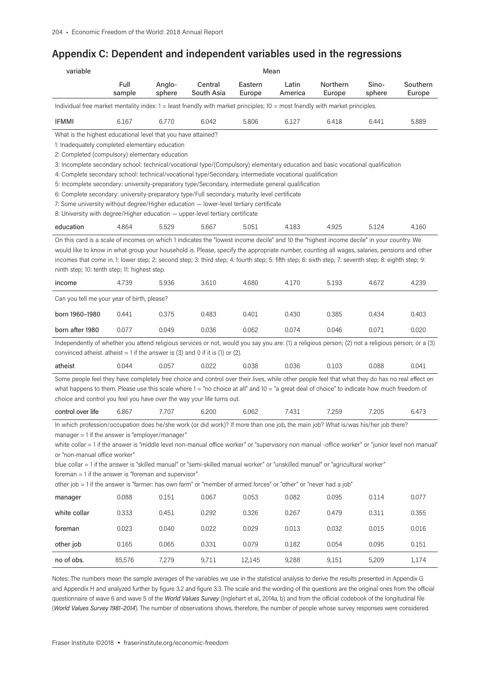## **Appendix C: Dependent and independent variables used in the regressions**

| variable                                                                                                                                                                                                                                                                                                                                                                                                                                                                                                                                                                                                                                                                                     | Mean           |                  |                       |                   |                  |                    |                 |                    |  |
|----------------------------------------------------------------------------------------------------------------------------------------------------------------------------------------------------------------------------------------------------------------------------------------------------------------------------------------------------------------------------------------------------------------------------------------------------------------------------------------------------------------------------------------------------------------------------------------------------------------------------------------------------------------------------------------------|----------------|------------------|-----------------------|-------------------|------------------|--------------------|-----------------|--------------------|--|
|                                                                                                                                                                                                                                                                                                                                                                                                                                                                                                                                                                                                                                                                                              | Full<br>sample | Anglo-<br>sphere | Central<br>South Asia | Eastern<br>Europe | Latin<br>America | Northern<br>Europe | Sino-<br>sphere | Southern<br>Europe |  |
| Individual free market mentality index: $1 =$ least friendly with market principles; $10 =$ most friendly with market principles.                                                                                                                                                                                                                                                                                                                                                                                                                                                                                                                                                            |                |                  |                       |                   |                  |                    |                 |                    |  |
| <b>IFMMI</b>                                                                                                                                                                                                                                                                                                                                                                                                                                                                                                                                                                                                                                                                                 | 6.167          | 6.770            | 6.042                 | 5.806             | 6.127            | 6.418              | 6.441           | 5.889              |  |
| What is the highest educational level that you have attained?<br>1: Inadequately completed elementary education<br>2: Completed (compulsory) elementary education<br>3: Incomplete secondary school: technical/vocational type/(Compulsory) elementary education and basic vocational qualification<br>4: Complete secondary school: technical/vocational type/Secondary, intermediate vocational qualification<br>5: Incomplete secondary: university-preparatory type/Secondary, intermediate general qualification<br>6: Complete secondary: university-preparatory type/Full secondary, maturity level certificate                                                                       |                |                  |                       |                   |                  |                    |                 |                    |  |
| 7: Some university without degree/Higher education - lower-level tertiary certificate<br>8: University with degree/Higher education - upper-level tertiary certificate                                                                                                                                                                                                                                                                                                                                                                                                                                                                                                                       |                |                  |                       |                   |                  |                    |                 |                    |  |
| education                                                                                                                                                                                                                                                                                                                                                                                                                                                                                                                                                                                                                                                                                    | 4.864          | 5.529            | 5.667                 | 5.051             | 4.183            | 4.925              | 5.124           | 4.160              |  |
| On this card is a scale of incomes on which 1 indicates the "lowest income decile" and 10 the "highest income decile" in your country. We<br>would like to know in what group your household is. Please, specify the appropriate number, counting all wages, salaries, pensions and other<br>incomes that come in 1: lower step; 2: second step; 3: third step; 4: fourth step; 5: fifth step; 6: sixth step; 7: seventh step; 8: eighth step; 9:<br>ninth step; 10: tenth step; 11: highest step.                                                                                                                                                                                           |                |                  |                       |                   |                  |                    |                 |                    |  |
| income                                                                                                                                                                                                                                                                                                                                                                                                                                                                                                                                                                                                                                                                                       | 4.739          | 5.936            | 3.610                 | 4.680             | 4.170            | 5.193              | 4.672           | 4.239              |  |
| Can you tell me your year of birth, please?                                                                                                                                                                                                                                                                                                                                                                                                                                                                                                                                                                                                                                                  |                |                  |                       |                   |                  |                    |                 |                    |  |
| born 1960-1980                                                                                                                                                                                                                                                                                                                                                                                                                                                                                                                                                                                                                                                                               | 0.441          | 0.375            | 0.483                 | 0.401             | 0.430            | 0.385              | 0.434           | 0.403              |  |
| born after 1980                                                                                                                                                                                                                                                                                                                                                                                                                                                                                                                                                                                                                                                                              | 0.077          | 0.049            | 0.036                 | 0.062             | 0.074            | 0.046              | 0.071           | 0.020              |  |
| Independently of whether you attend religious services or not, would you say you are: (1) a religious person; (2) not a religious person; or a (3)<br>convinced atheist. atheist $= 1$ if the answer is (3) and 0 if it is (1) or (2).                                                                                                                                                                                                                                                                                                                                                                                                                                                       |                |                  |                       |                   |                  |                    |                 |                    |  |
| atheist                                                                                                                                                                                                                                                                                                                                                                                                                                                                                                                                                                                                                                                                                      | 0.044          | 0.057            | 0.022                 | 0.038             | 0.036            | 0.103              | 0.088           | 0.041              |  |
| Some people feel they have completely free choice and control over their lives, while other people feel that what they do has no real effect on<br>what happens to them. Please use this scale where 1 = "no choice at all" and 10 = "a great deal of choice" to indicate how much freedom of<br>choice and control you feel you have over the way your life turns out.                                                                                                                                                                                                                                                                                                                      |                |                  |                       |                   |                  |                    |                 |                    |  |
| control over life                                                                                                                                                                                                                                                                                                                                                                                                                                                                                                                                                                                                                                                                            | 6.867          | 7.707            | 6.200                 | 6.062             | 7.431            | 7.259              | 7.205           | 6.473              |  |
| In which profession/occupation does he/she work (or did work)? If more than one job, the main job? What is/was his/her job there?<br>manager = 1 if the answer is "employer/manager"<br>white collar = 1 if the answer is "middle level non-manual office worker" or "supervisory non manual -office worker" or "junior level non manual"<br>or "non-manual office worker"<br>blue collar = 1 if the answer is "skilled manual" or "semi-skilled manual worker" or "unskilled manual" or "agricultural worker"<br>foreman = 1 if the answer is "foreman and supervisor"<br>other job = 1 if the answer is "farmer: has own farm" or "member of armed forces" or "other" or "never had a job" |                |                  |                       |                   |                  |                    |                 |                    |  |
| manager                                                                                                                                                                                                                                                                                                                                                                                                                                                                                                                                                                                                                                                                                      | 0.088          | 0.151            | 0.067                 | 0.053             | 0.082            | 0.095              | 0.114           | 0.077              |  |
| white collar                                                                                                                                                                                                                                                                                                                                                                                                                                                                                                                                                                                                                                                                                 | 0.333          | 0.451            | 0.292                 | 0.326             | 0.267            | 0.479              | 0.311           | 0.355              |  |
| foreman                                                                                                                                                                                                                                                                                                                                                                                                                                                                                                                                                                                                                                                                                      | 0.023          | 0.040            | 0.022                 | 0.029             | 0.013            | 0.032              | 0.015           | 0.016              |  |
| other job                                                                                                                                                                                                                                                                                                                                                                                                                                                                                                                                                                                                                                                                                    | 0.165          | 0.065            | 0.331                 | 0.079             | 0.182            | 0.054              | 0.095           | 0.151              |  |
| no of obs.                                                                                                                                                                                                                                                                                                                                                                                                                                                                                                                                                                                                                                                                                   | 85,576         | 7,279            | 9,711                 | 12,145            | 9,288            | 9,151              | 5,209           | 1,174              |  |

Notes: The numbers mean the sample averages of the variables we use in the statistical analysis to derive the results presented in Appendix G and Appendix H and analyzed further by figure 3.2 and figure 3.3. The scale and the wording of the questions are the original ones from the official questionnaire of wave 6 and wave 5 of the *World Values Survey* (Inglehart et al., 2014a, b) and from the official codebook of the longitudinal file (*World Values Survey 1981–2014*). The number of observations shows, therefore, the number of people whose survey responses were considered.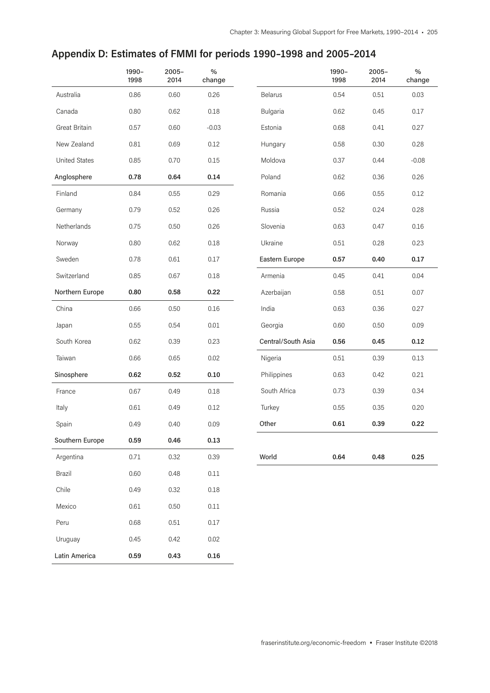## **Appendix D: Estimates of FMMI for periods 1990–1998 and 2005–2014**

|                      | 1990-<br>1998 | $2005 -$<br>2014 | $\%$<br>change |                    | 1990-<br>1998 | $2005 -$<br>2014 | $\%$<br>change |
|----------------------|---------------|------------------|----------------|--------------------|---------------|------------------|----------------|
| Australia            | 0.86          | 0.60             | 0.26           | <b>Belarus</b>     | 0.54          | 0.51             | 0.03           |
| Canada               | 0.80          | 0.62             | 0.18           | Bulgaria           | 0.62          | 0.45             | 0.17           |
| Great Britain        | 0.57          | 0.60             | $-0.03$        | Estonia            | 0.68          | 0.41             | 0.27           |
| New Zealand          | 0.81          | 0.69             | 0.12           | Hungary            | 0.58          | 0.30             | 0.28           |
| <b>United States</b> | 0.85          | 0.70             | 0.15           | Moldova            | 0.37          | 0.44             | $-0.08$        |
| Anglosphere          | 0.78          | 0.64             | 0.14           | Poland             | 0.62          | 0.36             | 0.26           |
| Finland              | 0.84          | 0.55             | 0.29           | Romania            | 0.66          | 0.55             | 0.12           |
| Germany              | 0.79          | 0.52             | 0.26           | Russia             | 0.52          | 0.24             | 0.28           |
| Netherlands          | 0.75          | 0.50             | 0.26           | Slovenia           | 0.63          | 0.47             | 0.16           |
| Norway               | 0.80          | 0.62             | 0.18           | Ukraine            | 0.51          | 0.28             | 0.23           |
| Sweden               | 0.78          | 0.61             | 0.17           | Eastern Europe     | 0.57          | 0.40             | 0.17           |
| Switzerland          | 0.85          | 0.67             | 0.18           | Armenia            | 0.45          | 0.41             | 0.04           |
| Northern Europe      | 0.80          | 0.58             | 0.22           | Azerbaijan         | 0.58          | 0.51             | 0.07           |
| China                | 0.66          | 0.50             | 0.16           | India              | 0.63          | 0.36             | 0.27           |
| Japan                | 0.55          | 0.54             | 0.01           | Georgia            | 0.60          | 0.50             | 0.09           |
| South Korea          | 0.62          | 0.39             | 0.23           | Central/South Asia | 0.56          | 0.45             | 0.12           |
| Taiwan               | 0.66          | 0.65             | 0.02           | Nigeria            | 0.51          | 0.39             | 0.13           |
| Sinosphere           | 0.62          | 0.52             | 0.10           | Philippines        | 0.63          | 0.42             | 0.21           |
| France               | 0.67          | 0.49             | 0.18           | South Africa       | 0.73          | 0.39             | 0.34           |
| Italy                | 0.61          | 0.49             | 0.12           | Turkey             | 0.55          | 0.35             | 0.20           |
| Spain                | 0.49          | 0.40             | 0.09           | Other              | 0.61          | 0.39             | 0.22           |
| Southern Europe      | 0.59          | 0.46             | 0.13           |                    |               |                  |                |
| Argentina            | 0.71          | 0.32             | 0.39           | World              | 0.64          | 0.48             | 0.25           |
| Brazil               | 0.60          | 0.48             | 0.11           |                    |               |                  |                |
| Chile                | 0.49          | 0.32             | 0.18           |                    |               |                  |                |
| Mexico               | 0.61          | 0.50             | 0.11           |                    |               |                  |                |
| Peru                 | 0.68          | 0.51             | 0.17           |                    |               |                  |                |
| Uruguay              | 0.45          | 0.42             | 0.02           |                    |               |                  |                |
| Latin America        | 0.59          | 0.43             | 0.16           |                    |               |                  |                |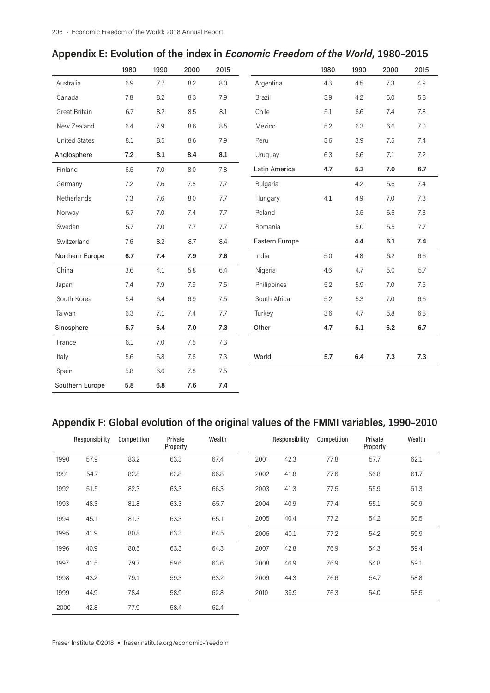|                      | 1980 | 1990    | 2000 | 2015 |                | 1980 | 1990 | 2000    | 2015    |
|----------------------|------|---------|------|------|----------------|------|------|---------|---------|
| Australia            | 6.9  | 7.7     | 8.2  | 8.0  | Argentina      | 4.3  | 4.5  | 7.3     | 4.9     |
| Canada               | 7.8  | 8.2     | 8.3  | 7.9  | <b>Brazil</b>  | 3.9  | 4.2  | 6.0     | 5.8     |
| Great Britain        | 6.7  | 8.2     | 8.5  | 8.1  | Chile          | 5.1  | 6.6  | 7.4     | 7.8     |
| New Zealand          | 6.4  | 7.9     | 8.6  | 8.5  | Mexico         | 5.2  | 6.3  | 6.6     | $7.0\,$ |
| <b>United States</b> | 8.1  | 8.5     | 8.6  | 7.9  | Peru           | 3.6  | 3.9  | 7.5     | 7.4     |
| Anglosphere          | 7.2  | 8.1     | 8.4  | 8.1  | Uruguay        | 6.3  | 6.6  | 7.1     | 7.2     |
| Finland              | 6.5  | 7.0     | 8.0  | 7.8  | Latin America  | 4.7  | 5.3  | 7.0     | 6.7     |
| Germany              | 7.2  | 7.6     | 7.8  | 7.7  | Bulgaria       |      | 4.2  | 5.6     | 7.4     |
| Netherlands          | 7.3  | 7.6     | 8.0  | 7.7  | Hungary        | 4.1  | 4.9  | 7.0     | 7.3     |
| Norway               | 5.7  | 7.0     | 7.4  | 7.7  | Poland         |      | 3.5  | 6.6     | 7.3     |
| Sweden               | 5.7  | 7.0     | 7.7  | 7.7  | Romania        |      | 5.0  | 5.5     | 7.7     |
| Switzerland          | 7.6  | 8.2     | 8.7  | 8.4  | Eastern Europe |      | 4.4  | 6.1     | 7.4     |
| Northern Europe      | 6.7  | 7.4     | 7.9  | 7.8  | India          | 5.0  | 4.8  | 6.2     | 6.6     |
| China                | 3.6  | 4.1     | 5.8  | 6.4  | Nigeria        | 4.6  | 4.7  | 5.0     | 5.7     |
| Japan                | 7.4  | 7.9     | 7.9  | 7.5  | Philippines    | 5.2  | 5.9  | 7.0     | 7.5     |
| South Korea          | 5.4  | 6.4     | 6.9  | 7.5  | South Africa   | 5.2  | 5.3  | $7.0\,$ | 6.6     |
| Taiwan               | 6.3  | 7.1     | 7.4  | 7.7  | Turkey         | 3.6  | 4.7  | 5.8     | 6.8     |
| Sinosphere           | 5.7  | 6.4     | 7.0  | 7.3  | Other          | 4.7  | 5.1  | 6.2     | 6.7     |
| France               | 6.1  | $7.0\,$ | 7.5  | 7.3  |                |      |      |         |         |
| Italy                | 5.6  | 6.8     | 7.6  | 7.3  | World          | 5.7  | 6.4  | 7.3     | 7.3     |
| Spain                | 5.8  | 6.6     | 7.8  | 7.5  |                |      |      |         |         |
| Southern Europe      | 5.8  | 6.8     | 7.6  | 7.4  |                |      |      |         |         |

|  |  |  | Appendix E: Evolution of the index in Economic Freedom of the World, 1980-2015 |
|--|--|--|--------------------------------------------------------------------------------|
|--|--|--|--------------------------------------------------------------------------------|

# **Appendix F: Global evolution of the original values of the FMMI variables, 1990–2010**

|      | Responsibility | Competition | Private<br>Property | Wealth |      | Responsibility | Competition | Private<br>Property | Wealth |
|------|----------------|-------------|---------------------|--------|------|----------------|-------------|---------------------|--------|
| 1990 | 57.9           | 83.2        | 63.3                | 67.4   | 2001 | 42.3           | 77.8        | 57.7                | 62.1   |
| 1991 | 54.7           | 82.8        | 62.8                | 66.8   | 2002 | 41.8           | 77.6        | 56.8                | 61.7   |
| 1992 | 51.5           | 82.3        | 63.3                | 66.3   | 2003 | 41.3           | 77.5        | 55.9                | 61.3   |
| 1993 | 48.3           | 81.8        | 63.3                | 65.7   | 2004 | 40.9           | 77.4        | 55.1                | 60.9   |
| 1994 | 45.1           | 81.3        | 63.3                | 65.1   | 2005 | 40.4           | 77.2        | 54.2                | 60.5   |
| 1995 | 41.9           | 80.8        | 63.3                | 64.5   | 2006 | 40.1           | 77.2        | 54.2                | 59.9   |
| 1996 | 40.9           | 80.5        | 63.3                | 64.3   | 2007 | 42.8           | 76.9        | 54.3                | 59.4   |
| 1997 | 41.5           | 79.7        | 59.6                | 63.6   | 2008 | 46.9           | 76.9        | 54.8                | 59.1   |
| 1998 | 43.2           | 79.1        | 59.3                | 63.2   | 2009 | 44.3           | 76.6        | 54.7                | 58.8   |
| 1999 | 44.9           | 78.4        | 58.9                | 62.8   | 2010 | 39.9           | 76.3        | 54.0                | 58.5   |
| 2000 | 42.8           | 77.9        | 58.4                | 62.4   |      |                |             |                     |        |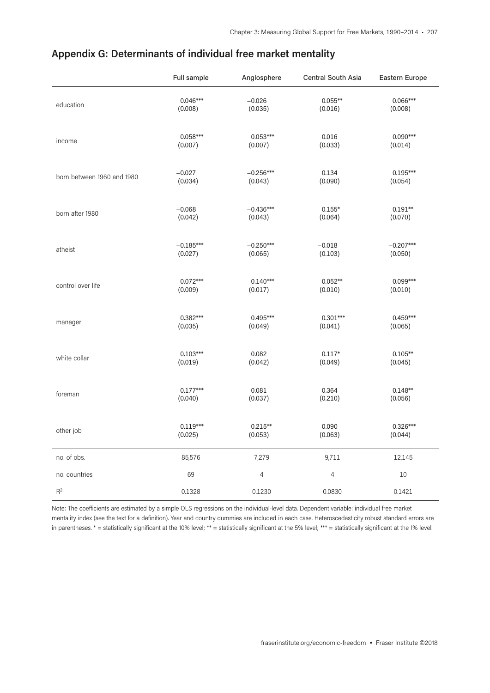|                            | Full sample | Anglosphere    | Central South Asia | Eastern Europe |
|----------------------------|-------------|----------------|--------------------|----------------|
| education                  | $0.046***$  | $-0.026$       | $0.055***$         | $0.066***$     |
|                            | (0.008)     | (0.035)        | (0.016)            | (0.008)        |
| income                     | $0.058***$  | $0.053***$     | 0.016              | $0.090***$     |
|                            | (0.007)     | (0.007)        | (0.033)            | (0.014)        |
| born between 1960 and 1980 | $-0.027$    | $-0.256***$    | 0.134              | $0.195***$     |
|                            | (0.034)     | (0.043)        | (0.090)            | (0.054)        |
| born after 1980            | $-0.068$    | $-0.436***$    | $0.155*$           | $0.191**$      |
|                            | (0.042)     | (0.043)        | (0.064)            | (0.070)        |
| atheist                    | $-0.185***$ | $-0.250***$    | $-0.018$           | $-0.207***$    |
|                            | (0.027)     | (0.065)        | (0.103)            | (0.050)        |
| control over life          | $0.072***$  | $0.140***$     | $0.052**$          | $0.099***$     |
|                            | (0.009)     | (0.017)        | (0.010)            | (0.010)        |
| manager                    | 0.382***    | $0.495***$     | $0.301***$         | $0.459***$     |
|                            | (0.035)     | (0.049)        | (0.041)            | (0.065)        |
| white collar               | $0.103***$  | 0.082          | $0.117*$           | $0.105**$      |
|                            | (0.019)     | (0.042)        | (0.049)            | (0.045)        |
| foreman                    | $0.177***$  | 0.081          | 0.364              | $0.148**$      |
|                            | (0.040)     | (0.037)        | (0.210)            | (0.056)        |
| other job                  | $0.119***$  | $0.215**$      | 0.090              | $0.326***$     |
|                            | (0.025)     | (0.053)        | (0.063)            | (0.044)        |
| no. of obs.                | 85,576      | 7,279          | 9,711              | 12,145         |
| no. countries              | 69          | $\overline{4}$ | 4                  | 10             |
| $\mathsf{R}^2$             | 0.1328      | 0.1230         | 0.0830             | 0.1421         |

## **Appendix G: Determinants of individual free market mentality**

Note: The coefficients are estimated by a simple OLS regressions on the individual-level data. Dependent variable: individual free market mentality index (see the text for a definition). Year and country dummies are included in each case. Heteroscedasticity robust standard errors are in parentheses. \* = statistically significant at the 10% level; \*\* = statistically significant at the 5% level; \*\*\* = statistically significant at the 1% level.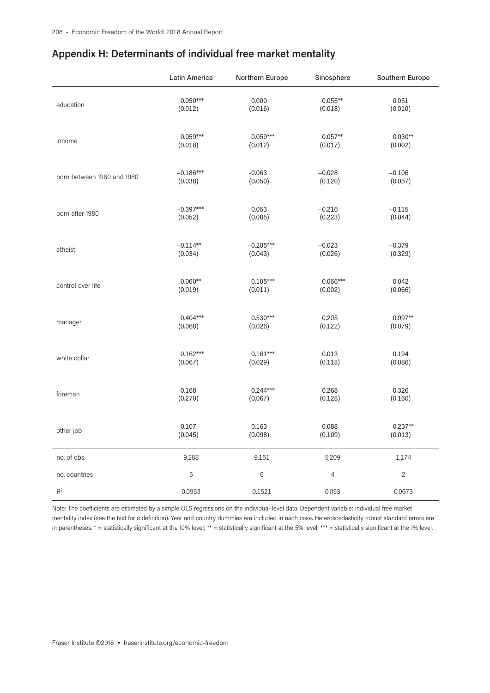|                            | Latin America | Northern Europe | Sinosphere     | Southern Europe |
|----------------------------|---------------|-----------------|----------------|-----------------|
| education                  | $0.050***$    | 0.000           | $0.055***$     | 0.051           |
|                            | (0.012)       | (0.016)         | (0.018)        | (0.010)         |
| income                     | $0.059***$    | $0.059***$      | $0.057**$      | $0.030**$       |
|                            | (0.018)       | (0.012)         | (0.017)        | (0.002)         |
| born between 1960 and 1980 | $-0.186***$   | $-0.063$        | $-0.028$       | $-0.106$        |
|                            | (0.038)       | (0.050)         | (0.120)        | (0.057)         |
| born after 1980            | $-0.397***$   | 0.053           | $-0.216$       | $-0.115$        |
|                            | (0.052)       | (0.085)         | (0.223)        | (0.044)         |
| atheist                    | $-0.114**$    | $-0.205***$     | $-0.023$       | $-0.379$        |
|                            | (0.034)       | (0.043)         | (0.026)        | (0.329)         |
| control over life          | $0.060**$     | $0.105***$      | 0.066***       | 0.042           |
|                            | (0.019)       | (0.011)         | (0.002)        | (0.066)         |
| manager                    | $0.404***$    | $0.530***$      | 0.205          | $0.997**$       |
|                            | (0.068)       | (0.026)         | (0.122)        | (0.079)         |
| white collar               | $0.162***$    | $0.161***$      | 0.013          | 0.194           |
|                            | (0.067)       | (0.029)         | (0.118)        | (0.086)         |
| foreman                    | 0.168         | $0.244***$      | 0.268          | 0.326           |
|                            | (0.270)       | (0.067)         | (0.128)        | (0.160)         |
| other job                  | 0.107         | 0.163           | 0.088          | $0.237**$       |
|                            | (0.045)       | (0.098)         | (0.109)        | (0.013)         |
| no. of obs.                | 9,288         | 9,151           | 5,209          | 1,174           |
| no. countries              | 6             | $6\phantom{a}$  | $\overline{4}$ | $\overline{c}$  |
| $\mathsf{R}^2$             | 0.0953        | 0.1521          | 0.093          | 0.0673          |

## **Appendix H: Determinants of individual free market mentality**

Note: The coefficients are estimated by a simple OLS regressions on the individual-level data. Dependent variable: individual free market mentality index (see the text for a definition). Year and country dummies are included in each case. Heteroscedasticity robust standard errors are in parentheses. \* = statistically significant at the 10% level; \*\* = statistically significant at the 5% level; \*\*\* = statistically significant at the 1% level.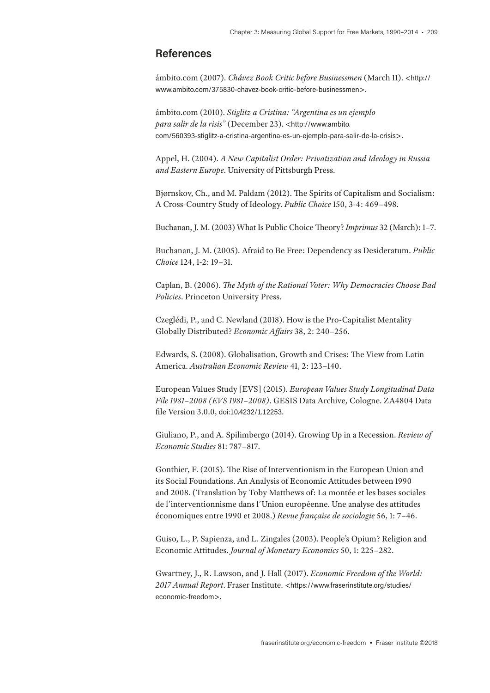## **References**

ámbito.com (2007). *Chávez Book Critic before Businessmen* (March 11). <[http://](http://www.ambito.com/375830-chavez-book-critic-before-businessmen) [www.ambito.com/375830-chavez-book-critic-before-businessmen](http://www.ambito.com/375830-chavez-book-critic-before-businessmen)>.

ámbito.com (2010). *Stiglitz a Cristina: "Argentina es un ejemplo para salir de la risis"* (December 23). <[http://www.ambito.](http://www.ambito.com/560393-stiglitz-a-cristina-argentina-es-un-ejemplo-para-salir-de-la-crisis) [com/560393-stiglitz-a-cristina-argentina-es-un-ejemplo-para-salir-de-la-crisis](http://www.ambito.com/560393-stiglitz-a-cristina-argentina-es-un-ejemplo-para-salir-de-la-crisis)>.

Appel, H. (2004). *A New Capitalist Order: Privatization and Ideology in Russia and Eastern Europe*. University of Pittsburgh Press.

Bjørnskov, Ch., and M. Paldam (2012). The Spirits of Capitalism and Socialism: A Cross-Country Study of Ideology. *Public Choice* 150, 3-4: 469–498.

Buchanan, J. M. (2003) What Is Public Choice Theory? *Imprimus* 32 (March): 1–7.

Buchanan, J. M. (2005). Afraid to Be Free: Dependency as Desideratum. *Public Choice* 124, 1-2: 19–31.

Caplan, B. (2006). *The Myth of the Rational Voter: Why Democracies Choose Bad Policies*. Princeton University Press.

Czeglédi, P., and C. Newland (2018). How is the Pro-Capitalist Mentality Globally Distributed? *Economic Affairs* 38, 2: 240–256.

Edwards, S. (2008). Globalisation, Growth and Crises: The View from Latin America. *Australian Economic Review* 41, 2: 123–140.

European Values Study [EVS] (2015). *European Values Study Longitudinal Data File 1981–2008 (EVS 1981–2008)*. GESIS Data Archive, Cologne. ZA4804 Data file Version 3.0.0, [doi:10.4232/1.12253](http://dx.doi.org/10.4232/1.12253).

Giuliano, P., and A. Spilimbergo (2014). Growing Up in a Recession. *Review of Economic Studies* 81: 787–817.

Gonthier, F. (2015). The Rise of Interventionism in the European Union and its Social Foundations. An Analysis of Economic Attitudes between 1990 and 2008. (Translation by Toby Matthews of: La montée et les bases sociales de l'interventionnisme dans l'Union européenne. Une analyse des attitudes économiques entre 1990 et 2008.) *Revue française de sociologie* 56, 1: 7–46.

Guiso, L., P. Sapienza, and L. Zingales (2003). People's Opium? Religion and Economic Attitudes. *Journal of Monetary Economics* 50, 1: 225–282.

Gwartney, J., R. Lawson, and J. Hall (2017). *Economic Freedom of the World: 2017 Annual Report*. Fraser Institute. <[https://www.fraserinstitute.org/studies/](https://www.fraserinstitute.org/studies/economic-freedom) [economic-freedom](https://www.fraserinstitute.org/studies/economic-freedom)>.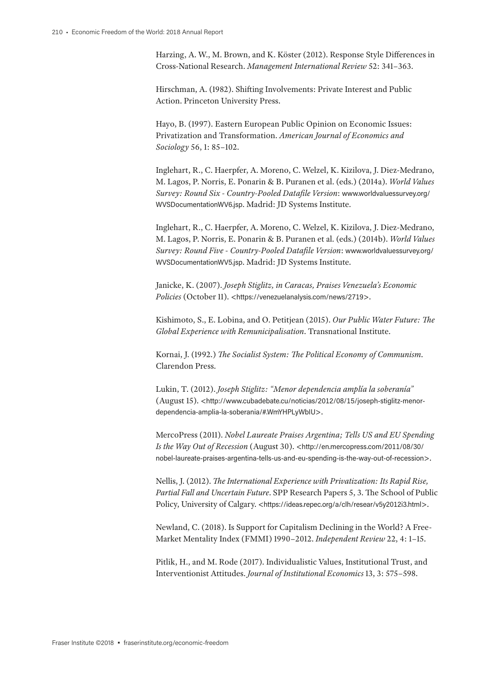Harzing, A. W., M. Brown, and K. Köster (2012). Response Style Differences in Cross-National Research. *Management International Review* 52: 341–363.

Hirschman, A. (1982). Shifting Involvements: Private Interest and Public Action. Princeton University Press.

Hayo, B. (1997). Eastern European Public Opinion on Economic Issues: Privatization and Transformation. *American Journal of Economics and Sociology* 56, 1: 85–102.

Inglehart, R., C. Haerpfer, A. Moreno, C. Welzel, K. Kizilova, J. Diez-Medrano, M. Lagos, P. Norris, E. Ponarin & B. Puranen et al. (eds.) (2014a). *World Values Survey: Round Six - Country-Pooled Datafile Version*: [www.worldvaluessurvey.org/](http://www.worldvaluessurvey.org/WVSDocumentationWV6.jsp) [WVSDocumentationWV6.jsp](http://www.worldvaluessurvey.org/WVSDocumentationWV6.jsp). Madrid: JD Systems Institute.

Inglehart, R., C. Haerpfer, A. Moreno, C. Welzel, K. Kizilova, J. Diez-Medrano, M. Lagos, P. Norris, E. Ponarin & B. Puranen et al. (eds.) (2014b). *World Values Survey: Round Five - Country-Pooled Datafile Version*: [www.worldvaluessurvey.org/](http://www.worldvaluessurvey.org/WVSDocumentationWV5.jsp) [WVSDocumentationWV5.jsp](http://www.worldvaluessurvey.org/WVSDocumentationWV5.jsp). Madrid: JD Systems Institute.

Janicke, K. (2007). *Joseph Stiglitz, in Caracas, Praises Venezuela's Economic Policies* (October 11). <<https://venezuelanalysis.com/news/2719>>.

Kishimoto, S., E. Lobina, and O. Petitjean (2015). *Our Public Water Future: The Global Experience with Remunicipalisation*. Transnational Institute.

Kornai, J. (1992.) *The Socialist System: The Political Economy of Communism*. Clarendon Press.

Lukin, T. (2012). *Joseph Stiglitz: "Menor dependencia amplía la soberanía"* (August 15). <[http://www.cubadebate.cu/noticias/2012/08/15/joseph-stiglitz-menor](http://www.cubadebate.cu/noticias/2012/08/15/joseph-stiglitz-menor-dependencia-amplia-la-soberania/#.WmYHPLyWbIU)[dependencia-amplia-la-soberania/#.WmYHPLyWbIU](http://www.cubadebate.cu/noticias/2012/08/15/joseph-stiglitz-menor-dependencia-amplia-la-soberania/#.WmYHPLyWbIU)>.

MercoPress (2011). *Nobel Laureate Praises Argentina; Tells US and EU Spending Is the Way Out of Recession* (August 30). <[http://en.mercopress.com/2011/08/30/](http://en.mercopress.com/2011/08/30/nobel-laureate-praises-argentina-tells-us-and-eu-spending-is-the-way-out-of-recession) [nobel-laureate-praises-argentina-tells-us-and-eu-spending-is-the-way-out-of-recession](http://en.mercopress.com/2011/08/30/nobel-laureate-praises-argentina-tells-us-and-eu-spending-is-the-way-out-of-recession)>.

Nellis, J. (2012). *The International Experience with Privatization: Its Rapid Rise, Partial Fall and Uncertain Future*. SPP Research Papers 5, 3. The School of Public Policy, University of Calgary. <<https://ideas.repec.org/a/clh/resear/v5y2012i3.html>>.

Newland, C. (2018). Is Support for Capitalism Declining in the World? A Free-Market Mentality Index (FMMI) 1990–2012. *Independent Review* 22, 4: 1–15.

Pitlik, H., and M. Rode (2017). Individualistic Values, Institutional Trust, and Interventionist Attitudes. *Journal of Institutional Economics* 13, 3: 575–598.